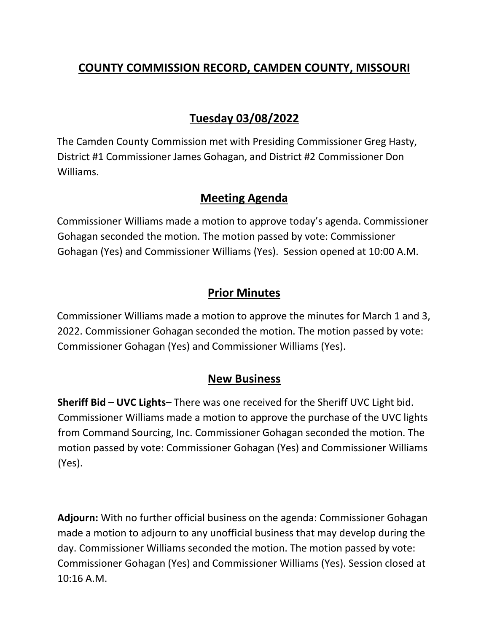# **COUNTY COMMISSION RECORD, CAMDEN COUNTY, MISSOURI**

# **Tuesday 03/08/2022**

The Camden County Commission met with Presiding Commissioner Greg Hasty, District #1 Commissioner James Gohagan, and District #2 Commissioner Don Williams.

### **Meeting Agenda**

Commissioner Williams made a motion to approve today's agenda. Commissioner Gohagan seconded the motion. The motion passed by vote: Commissioner Gohagan (Yes) and Commissioner Williams (Yes). Session opened at 10:00 A.M.

## **Prior Minutes**

Commissioner Williams made a motion to approve the minutes for March 1 and 3, 2022. Commissioner Gohagan seconded the motion. The motion passed by vote: Commissioner Gohagan (Yes) and Commissioner Williams (Yes).

### **New Business**

**Sheriff Bid – UVC Lights–** There was one received for the Sheriff UVC Light bid. Commissioner Williams made a motion to approve the purchase of the UVC lights from Command Sourcing, Inc. Commissioner Gohagan seconded the motion. The motion passed by vote: Commissioner Gohagan (Yes) and Commissioner Williams (Yes).

**Adjourn:** With no further official business on the agenda: Commissioner Gohagan made a motion to adjourn to any unofficial business that may develop during the day. Commissioner Williams seconded the motion. The motion passed by vote: Commissioner Gohagan (Yes) and Commissioner Williams (Yes). Session closed at 10:16 A.M.